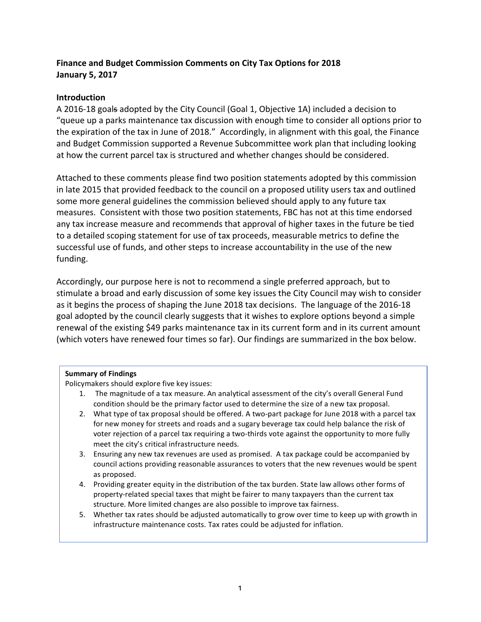# **Finance and Budget Commission Comments on City Tax Options for 2018 January 5, 2017**

## **Introduction**

A 2016-18 goals adopted by the City Council (Goal 1, Objective 1A) included a decision to "queue up a parks maintenance tax discussion with enough time to consider all options prior to the expiration of the tax in June of 2018." Accordingly, in alignment with this goal, the Finance and Budget Commission supported a Revenue Subcommittee work plan that including looking at how the current parcel tax is structured and whether changes should be considered.

Attached to these comments please find two position statements adopted by this commission in late 2015 that provided feedback to the council on a proposed utility users tax and outlined some more general guidelines the commission believed should apply to any future tax measures. Consistent with those two position statements, FBC has not at this time endorsed any tax increase measure and recommends that approval of higher taxes in the future be tied to a detailed scoping statement for use of tax proceeds, measurable metrics to define the successful use of funds, and other steps to increase accountability in the use of the new funding.

Accordingly, our purpose here is not to recommend a single preferred approach, but to stimulate a broad and early discussion of some key issues the City Council may wish to consider as it begins the process of shaping the June 2018 tax decisions. The language of the 2016-18 goal adopted by the council clearly suggests that it wishes to explore options beyond a simple renewal of the existing \$49 parks maintenance tax in its current form and in its current amount (which voters have renewed four times so far). Our findings are summarized in the box below.

#### **Summary of Findings**

Policymakers should explore five key issues:

- 1. The magnitude of a tax measure. An analytical assessment of the city's overall General Fund condition should be the primary factor used to determine the size of a new tax proposal.
- 2. What type of tax proposal should be offered. A two-part package for June 2018 with a parcel tax for new money for streets and roads and a sugary beverage tax could help balance the risk of voter rejection of a parcel tax requiring a two-thirds vote against the opportunity to more fully meet the city's critical infrastructure needs.
- 3. Ensuring any new tax revenues are used as promised. A tax package could be accompanied by council actions providing reasonable assurances to voters that the new revenues would be spent as proposed.
- 4. Providing greater equity in the distribution of the tax burden. State law allows other forms of property-related special taxes that might be fairer to many taxpayers than the current tax structure. More limited changes are also possible to improve tax fairness.
- 5. Whether tax rates should be adjusted automatically to grow over time to keep up with growth in infrastructure maintenance costs. Tax rates could be adjusted for inflation.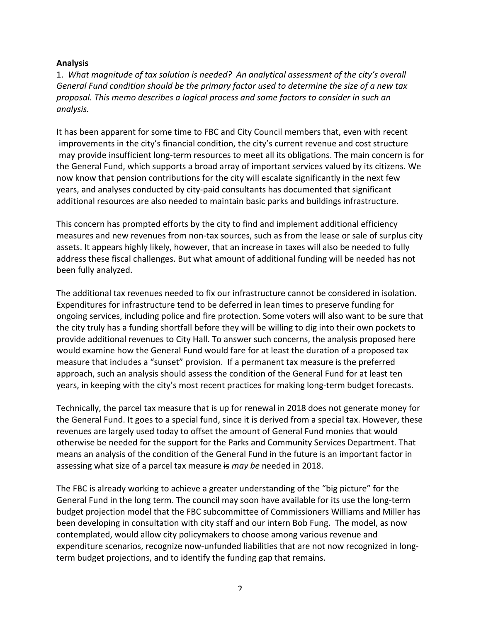## **Analysis**

1. What magnitude of tax solution is needed? An analytical assessment of the city's overall General Fund condition should be the primary factor used to determine the size of a new tax *proposal.* This memo describes a logical process and some factors to consider in such an *analysis.*

It has been apparent for some time to FBC and City Council members that, even with recent improvements in the city's financial condition, the city's current revenue and cost structure may provide insufficient long-term resources to meet all its obligations. The main concern is for the General Fund, which supports a broad array of important services valued by its citizens. We now know that pension contributions for the city will escalate significantly in the next few years, and analyses conducted by city-paid consultants has documented that significant additional resources are also needed to maintain basic parks and buildings infrastructure.

This concern has prompted efforts by the city to find and implement additional efficiency measures and new revenues from non-tax sources, such as from the lease or sale of surplus city assets. It appears highly likely, however, that an increase in taxes will also be needed to fully address these fiscal challenges. But what amount of additional funding will be needed has not been fully analyzed.

The additional tax revenues needed to fix our infrastructure cannot be considered in isolation. Expenditures for infrastructure tend to be deferred in lean times to preserve funding for ongoing services, including police and fire protection. Some voters will also want to be sure that the city truly has a funding shortfall before they will be willing to dig into their own pockets to provide additional revenues to City Hall. To answer such concerns, the analysis proposed here would examine how the General Fund would fare for at least the duration of a proposed tax measure that includes a "sunset" provision. If a permanent tax measure is the preferred approach, such an analysis should assess the condition of the General Fund for at least ten years, in keeping with the city's most recent practices for making long-term budget forecasts.

Technically, the parcel tax measure that is up for renewal in 2018 does not generate money for the General Fund. It goes to a special fund, since it is derived from a special tax. However, these revenues are largely used today to offset the amount of General Fund monies that would otherwise be needed for the support for the Parks and Community Services Department. That means an analysis of the condition of the General Fund in the future is an important factor in assessing what size of a parcel tax measure is may be needed in 2018.

The FBC is already working to achieve a greater understanding of the "big picture" for the General Fund in the long term. The council may soon have available for its use the long-term budget projection model that the FBC subcommittee of Commissioners Williams and Miller has been developing in consultation with city staff and our intern Bob Fung. The model, as now contemplated, would allow city policymakers to choose among various revenue and expenditure scenarios, recognize now-unfunded liabilities that are not now recognized in longterm budget projections, and to identify the funding gap that remains.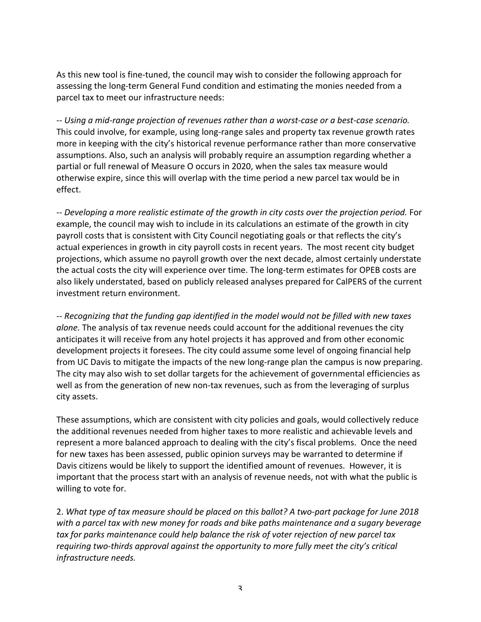As this new tool is fine-tuned, the council may wish to consider the following approach for assessing the long-term General Fund condition and estimating the monies needed from a parcel tax to meet our infrastructure needs:

-- Using a mid-range projection of revenues rather than a worst-case or a best-case scenario. This could involve, for example, using long-range sales and property tax revenue growth rates more in keeping with the city's historical revenue performance rather than more conservative assumptions. Also, such an analysis will probably require an assumption regarding whether a partial or full renewal of Measure O occurs in 2020, when the sales tax measure would otherwise expire, since this will overlap with the time period a new parcel tax would be in effect.

-- *Developing a more realistic estimate of the growth in city costs over the projection period.* For example, the council may wish to include in its calculations an estimate of the growth in city payroll costs that is consistent with City Council negotiating goals or that reflects the city's actual experiences in growth in city payroll costs in recent years. The most recent city budget projections, which assume no payroll growth over the next decade, almost certainly understate the actual costs the city will experience over time. The long-term estimates for OPEB costs are also likely understated, based on publicly released analyses prepared for CalPERS of the current investment return environment.

-- *Recognizing that the funding gap identified in the model would not be filled with new taxes* alone. The analysis of tax revenue needs could account for the additional revenues the city anticipates it will receive from any hotel projects it has approved and from other economic development projects it foresees. The city could assume some level of ongoing financial help from UC Davis to mitigate the impacts of the new long-range plan the campus is now preparing. The city may also wish to set dollar targets for the achievement of governmental efficiencies as well as from the generation of new non-tax revenues, such as from the leveraging of surplus city assets.

These assumptions, which are consistent with city policies and goals, would collectively reduce the additional revenues needed from higher taxes to more realistic and achievable levels and represent a more balanced approach to dealing with the city's fiscal problems. Once the need for new taxes has been assessed, public opinion surveys may be warranted to determine if Davis citizens would be likely to support the identified amount of revenues. However, it is important that the process start with an analysis of revenue needs, not with what the public is willing to vote for.

2. What type of tax measure should be placed on this ballot? A two-part package for June 2018 *with* a parcel tax with new money for roads and bike paths maintenance and a sugary beverage *tax* for parks maintenance could help balance the risk of voter rejection of new parcel tax *requiring two-thirds approval against the opportunity to more fully meet the city's critical infrastructure needs.*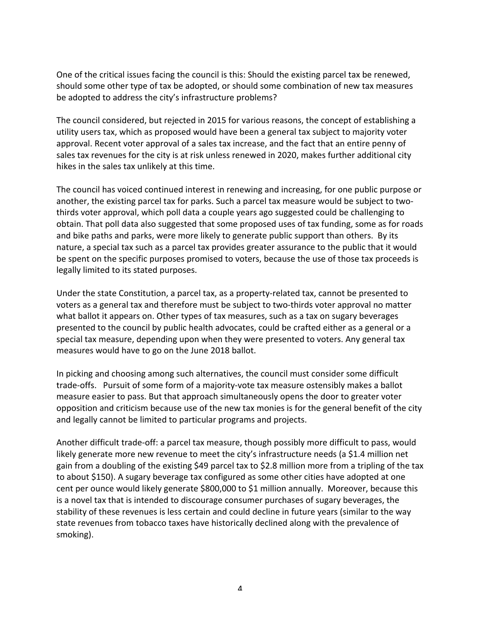One of the critical issues facing the council is this: Should the existing parcel tax be renewed, should some other type of tax be adopted, or should some combination of new tax measures be adopted to address the city's infrastructure problems?

The council considered, but rejected in 2015 for various reasons, the concept of establishing a utility users tax, which as proposed would have been a general tax subject to majority voter approval. Recent voter approval of a sales tax increase, and the fact that an entire penny of sales tax revenues for the city is at risk unless renewed in 2020, makes further additional city hikes in the sales tax unlikely at this time.

The council has voiced continued interest in renewing and increasing, for one public purpose or another, the existing parcel tax for parks. Such a parcel tax measure would be subject to twothirds voter approval, which poll data a couple years ago suggested could be challenging to obtain. That poll data also suggested that some proposed uses of tax funding, some as for roads and bike paths and parks, were more likely to generate public support than others. By its nature, a special tax such as a parcel tax provides greater assurance to the public that it would be spent on the specific purposes promised to voters, because the use of those tax proceeds is legally limited to its stated purposes.

Under the state Constitution, a parcel tax, as a property-related tax, cannot be presented to voters as a general tax and therefore must be subject to two-thirds voter approval no matter what ballot it appears on. Other types of tax measures, such as a tax on sugary beverages presented to the council by public health advocates, could be crafted either as a general or a special tax measure, depending upon when they were presented to voters. Any general tax measures would have to go on the June 2018 ballot.

In picking and choosing among such alternatives, the council must consider some difficult trade-offs. Pursuit of some form of a majority-vote tax measure ostensibly makes a ballot measure easier to pass. But that approach simultaneously opens the door to greater voter opposition and criticism because use of the new tax monies is for the general benefit of the city and legally cannot be limited to particular programs and projects.

Another difficult trade-off: a parcel tax measure, though possibly more difficult to pass, would likely generate more new revenue to meet the city's infrastructure needs (a \$1.4 million net gain from a doubling of the existing \$49 parcel tax to \$2.8 million more from a tripling of the tax to about \$150). A sugary beverage tax configured as some other cities have adopted at one cent per ounce would likely generate \$800,000 to \$1 million annually. Moreover, because this is a novel tax that is intended to discourage consumer purchases of sugary beverages, the stability of these revenues is less certain and could decline in future years (similar to the way state revenues from tobacco taxes have historically declined along with the prevalence of smoking).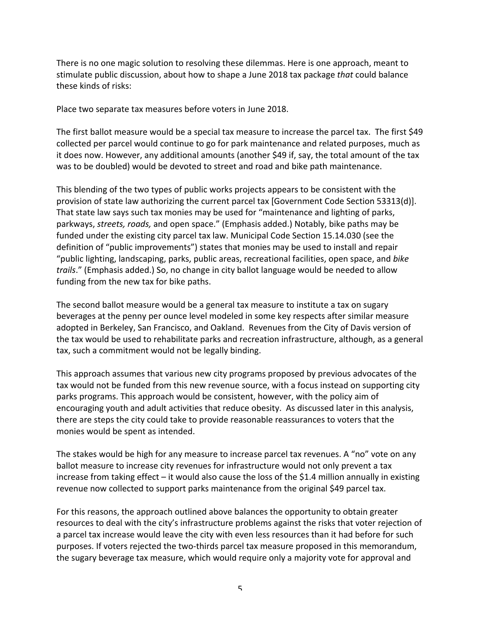There is no one magic solution to resolving these dilemmas. Here is one approach, meant to stimulate public discussion, about how to shape a June 2018 tax package *that* could balance these kinds of risks:

Place two separate tax measures before voters in June 2018.

The first ballot measure would be a special tax measure to increase the parcel tax. The first \$49 collected per parcel would continue to go for park maintenance and related purposes, much as it does now. However, any additional amounts (another \$49 if, say, the total amount of the tax was to be doubled) would be devoted to street and road and bike path maintenance.

This blending of the two types of public works projects appears to be consistent with the provision of state law authorizing the current parcel tax [Government Code Section 53313(d)]. That state law says such tax monies may be used for "maintenance and lighting of parks, parkways, *streets, roads*, and open space." (Emphasis added.) Notably, bike paths may be funded under the existing city parcel tax law. Municipal Code Section 15.14.030 (see the definition of "public improvements") states that monies may be used to install and repair "public lighting, landscaping, parks, public areas, recreational facilities, open space, and bike *trails*." (Emphasis added.) So, no change in city ballot language would be needed to allow funding from the new tax for bike paths.

The second ballot measure would be a general tax measure to institute a tax on sugary beverages at the penny per ounce level modeled in some key respects after similar measure adopted in Berkeley, San Francisco, and Oakland. Revenues from the City of Davis version of the tax would be used to rehabilitate parks and recreation infrastructure, although, as a general tax, such a commitment would not be legally binding.

This approach assumes that various new city programs proposed by previous advocates of the tax would not be funded from this new revenue source, with a focus instead on supporting city parks programs. This approach would be consistent, however, with the policy aim of encouraging youth and adult activities that reduce obesity. As discussed later in this analysis, there are steps the city could take to provide reasonable reassurances to voters that the monies would be spent as intended.

The stakes would be high for any measure to increase parcel tax revenues. A "no" vote on any ballot measure to increase city revenues for infrastructure would not only prevent a tax increase from taking effect – it would also cause the loss of the \$1.4 million annually in existing revenue now collected to support parks maintenance from the original \$49 parcel tax.

For this reasons, the approach outlined above balances the opportunity to obtain greater resources to deal with the city's infrastructure problems against the risks that voter rejection of a parcel tax increase would leave the city with even less resources than it had before for such purposes. If voters rejected the two-thirds parcel tax measure proposed in this memorandum, the sugary beverage tax measure, which would require only a majority vote for approval and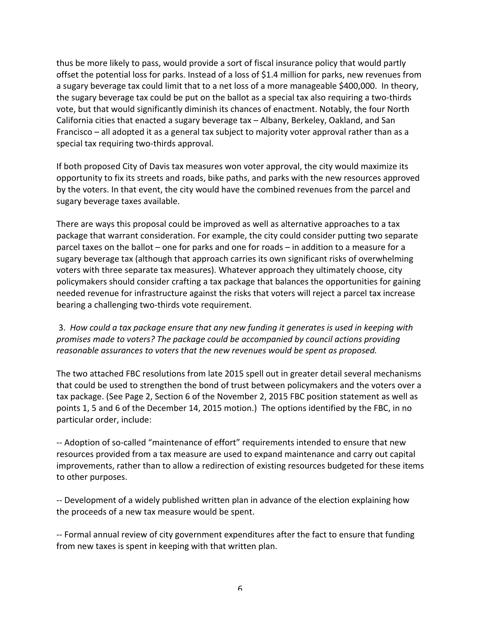thus be more likely to pass, would provide a sort of fiscal insurance policy that would partly offset the potential loss for parks. Instead of a loss of \$1.4 million for parks, new revenues from a sugary beverage tax could limit that to a net loss of a more manageable \$400,000. In theory, the sugary beverage tax could be put on the ballot as a special tax also requiring a two-thirds vote, but that would significantly diminish its chances of enactment. Notably, the four North California cities that enacted a sugary beverage tax - Albany, Berkeley, Oakland, and San Francisco – all adopted it as a general tax subject to majority voter approval rather than as a special tax requiring two-thirds approval.

If both proposed City of Davis tax measures won voter approval, the city would maximize its opportunity to fix its streets and roads, bike paths, and parks with the new resources approved by the voters. In that event, the city would have the combined revenues from the parcel and sugary beverage taxes available.

There are ways this proposal could be improved as well as alternative approaches to a tax package that warrant consideration. For example, the city could consider putting two separate parcel taxes on the ballot – one for parks and one for roads – in addition to a measure for a sugary beverage tax (although that approach carries its own significant risks of overwhelming voters with three separate tax measures). Whatever approach they ultimately choose, city policymakers should consider crafting a tax package that balances the opportunities for gaining needed revenue for infrastructure against the risks that voters will reject a parcel tax increase bearing a challenging two-thirds vote requirement.

3. How could a tax package ensure that any new funding it generates is used in keeping with *promises made to voters? The package could be accompanied by council actions providing* reasonable assurances to voters that the new revenues would be spent as proposed.

The two attached FBC resolutions from late 2015 spell out in greater detail several mechanisms that could be used to strengthen the bond of trust between policymakers and the voters over a tax package. (See Page 2, Section 6 of the November 2, 2015 FBC position statement as well as points 1, 5 and 6 of the December 14, 2015 motion.) The options identified by the FBC, in no particular order, include:

-- Adoption of so-called "maintenance of effort" requirements intended to ensure that new resources provided from a tax measure are used to expand maintenance and carry out capital improvements, rather than to allow a redirection of existing resources budgeted for these items to other purposes.

-- Development of a widely published written plan in advance of the election explaining how the proceeds of a new tax measure would be spent.

-- Formal annual review of city government expenditures after the fact to ensure that funding from new taxes is spent in keeping with that written plan.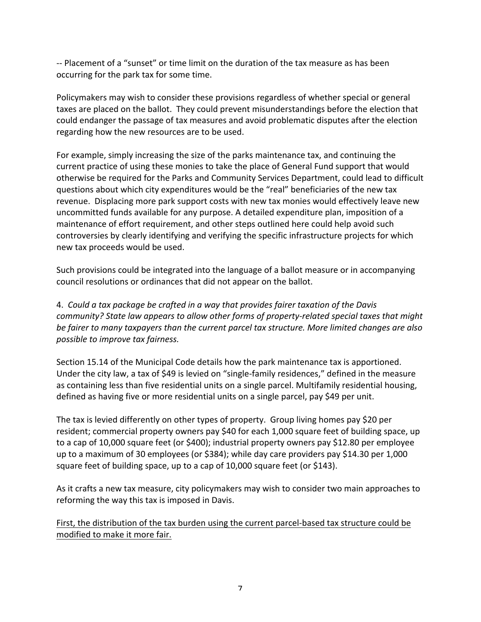-- Placement of a "sunset" or time limit on the duration of the tax measure as has been occurring for the park tax for some time.

Policymakers may wish to consider these provisions regardless of whether special or general taxes are placed on the ballot. They could prevent misunderstandings before the election that could endanger the passage of tax measures and avoid problematic disputes after the election regarding how the new resources are to be used.

For example, simply increasing the size of the parks maintenance tax, and continuing the current practice of using these monies to take the place of General Fund support that would otherwise be required for the Parks and Community Services Department, could lead to difficult questions about which city expenditures would be the "real" beneficiaries of the new tax revenue. Displacing more park support costs with new tax monies would effectively leave new uncommitted funds available for any purpose. A detailed expenditure plan, imposition of a maintenance of effort requirement, and other steps outlined here could help avoid such controversies by clearly identifying and verifying the specific infrastructure projects for which new tax proceeds would be used.

Such provisions could be integrated into the language of a ballot measure or in accompanying council resolutions or ordinances that did not appear on the ballot.

4. Could a tax package be crafted in a way that provides fairer taxation of the Davis *community?* State law appears to allow other forms of property-related special taxes that might be fairer to many taxpayers than the current parcel tax structure. More limited changes are also *possible to improve tax fairness.*

Section 15.14 of the Municipal Code details how the park maintenance tax is apportioned. Under the city law, a tax of \$49 is levied on "single-family residences," defined in the measure as containing less than five residential units on a single parcel. Multifamily residential housing, defined as having five or more residential units on a single parcel, pay \$49 per unit.

The tax is levied differently on other types of property. Group living homes pay \$20 per resident; commercial property owners pay \$40 for each 1,000 square feet of building space, up to a cap of 10,000 square feet (or \$400); industrial property owners pay \$12.80 per employee up to a maximum of 30 employees (or \$384); while day care providers pay \$14.30 per 1,000 square feet of building space, up to a cap of 10,000 square feet (or \$143).

As it crafts a new tax measure, city policymakers may wish to consider two main approaches to reforming the way this tax is imposed in Davis.

First, the distribution of the tax burden using the current parcel-based tax structure could be modified to make it more fair.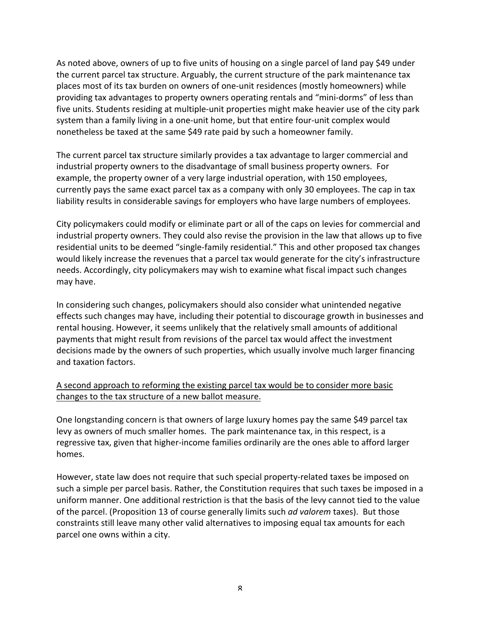As noted above, owners of up to five units of housing on a single parcel of land pay \$49 under the current parcel tax structure. Arguably, the current structure of the park maintenance tax places most of its tax burden on owners of one-unit residences (mostly homeowners) while providing tax advantages to property owners operating rentals and "mini-dorms" of less than five units. Students residing at multiple-unit properties might make heavier use of the city park system than a family living in a one-unit home, but that entire four-unit complex would nonetheless be taxed at the same \$49 rate paid by such a homeowner family.

The current parcel tax structure similarly provides a tax advantage to larger commercial and industrial property owners to the disadvantage of small business property owners. For example, the property owner of a very large industrial operation, with 150 employees, currently pays the same exact parcel tax as a company with only 30 employees. The cap in tax liability results in considerable savings for employers who have large numbers of employees.

City policymakers could modify or eliminate part or all of the caps on levies for commercial and industrial property owners. They could also revise the provision in the law that allows up to five residential units to be deemed "single-family residential." This and other proposed tax changes would likely increase the revenues that a parcel tax would generate for the city's infrastructure needs. Accordingly, city policymakers may wish to examine what fiscal impact such changes may have.

In considering such changes, policymakers should also consider what unintended negative effects such changes may have, including their potential to discourage growth in businesses and rental housing. However, it seems unlikely that the relatively small amounts of additional payments that might result from revisions of the parcel tax would affect the investment decisions made by the owners of such properties, which usually involve much larger financing and taxation factors.

## A second approach to reforming the existing parcel tax would be to consider more basic changes to the tax structure of a new ballot measure.

One longstanding concern is that owners of large luxury homes pay the same \$49 parcel tax levy as owners of much smaller homes. The park maintenance tax, in this respect, is a regressive tax, given that higher-income families ordinarily are the ones able to afford larger homes. 

However, state law does not require that such special property-related taxes be imposed on such a simple per parcel basis. Rather, the Constitution requires that such taxes be imposed in a uniform manner. One additional restriction is that the basis of the levy cannot tied to the value of the parcel. (Proposition 13 of course generally limits such *ad valorem* taxes). But those constraints still leave many other valid alternatives to imposing equal tax amounts for each parcel one owns within a city.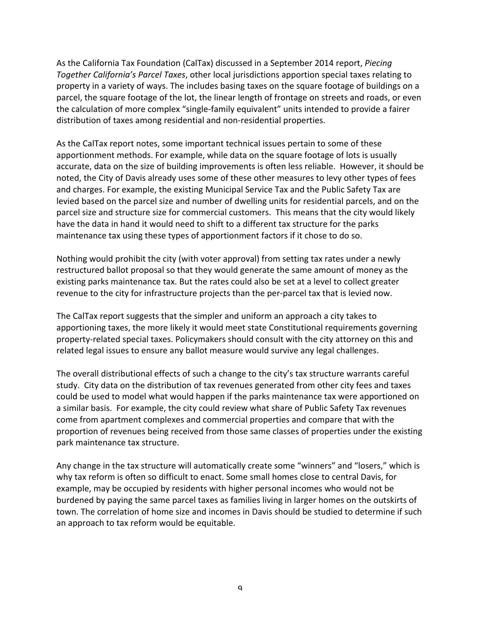As the California Tax Foundation (CalTax) discussed in a September 2014 report, *Piecing Together California's Parcel Taxes*, other local jurisdictions apportion special taxes relating to property in a variety of ways. The includes basing taxes on the square footage of buildings on a parcel, the square footage of the lot, the linear length of frontage on streets and roads, or even the calculation of more complex "single-family equivalent" units intended to provide a fairer distribution of taxes among residential and non-residential properties.

As the CalTax report notes, some important technical issues pertain to some of these apportionment methods. For example, while data on the square footage of lots is usually accurate, data on the size of building improvements is often less reliable. However, it should be noted, the City of Davis already uses some of these other measures to levy other types of fees and charges. For example, the existing Municipal Service Tax and the Public Safety Tax are levied based on the parcel size and number of dwelling units for residential parcels, and on the parcel size and structure size for commercial customers. This means that the city would likely have the data in hand it would need to shift to a different tax structure for the parks maintenance tax using these types of apportionment factors if it chose to do so.

Nothing would prohibit the city (with voter approval) from setting tax rates under a newly restructured ballot proposal so that they would generate the same amount of money as the existing parks maintenance tax. But the rates could also be set at a level to collect greater revenue to the city for infrastructure projects than the per-parcel tax that is levied now.

The CalTax report suggests that the simpler and uniform an approach a city takes to apportioning taxes, the more likely it would meet state Constitutional requirements governing property-related special taxes. Policymakers should consult with the city attorney on this and related legal issues to ensure any ballot measure would survive any legal challenges.

The overall distributional effects of such a change to the city's tax structure warrants careful study. City data on the distribution of tax revenues generated from other city fees and taxes could be used to model what would happen if the parks maintenance tax were apportioned on a similar basis. For example, the city could review what share of Public Safety Tax revenues come from apartment complexes and commercial properties and compare that with the proportion of revenues being received from those same classes of properties under the existing park maintenance tax structure.

Any change in the tax structure will automatically create some "winners" and "losers," which is why tax reform is often so difficult to enact. Some small homes close to central Davis, for example, may be occupied by residents with higher personal incomes who would not be burdened by paying the same parcel taxes as families living in larger homes on the outskirts of town. The correlation of home size and incomes in Davis should be studied to determine if such an approach to tax reform would be equitable.